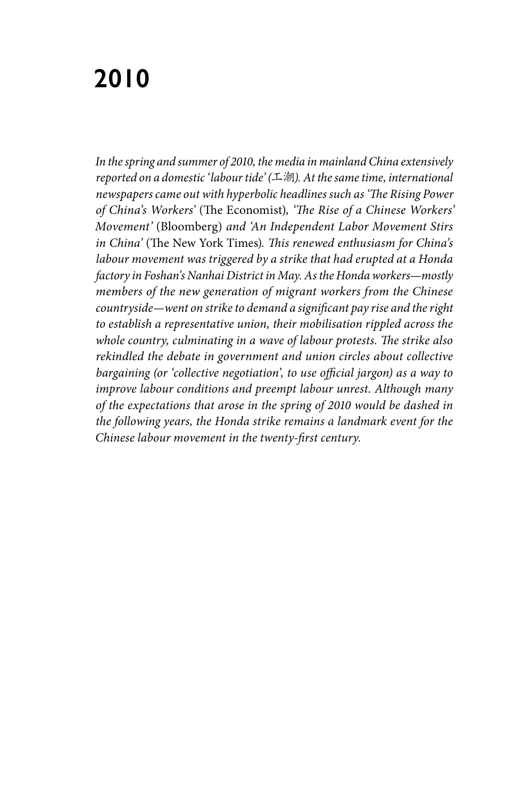# **2010**

*In the spring and summer of 2010, the media in mainland China extensively reported on a domestic 'labour tide' (*工潮*). At the same time, international newspapers came out with hyperbolic headlines such as 'The Rising Power of China's Workers'* (The Economist)*, 'The Rise of a Chinese Workers' Movement'* (Bloomberg) *and 'An Independent Labor Movement Stirs in China'* (The New York Times)*. This renewed enthusiasm for China's labour movement was triggered by a strike that had erupted at a Honda factory in Foshan's Nanhai District in May. As the Honda workers—mostly members of the new generation of migrant workers from the Chinese countryside—went on strike to demand a significant pay rise and the right to establish a representative union, their mobilisation rippled across the whole country, culminating in a wave of labour protests. The strike also rekindled the debate in government and union circles about collective bargaining (or 'collective negotiation', to use official jargon) as a way to improve labour conditions and preempt labour unrest. Although many of the expectations that arose in the spring of 2010 would be dashed in the following years, the Honda strike remains a landmark event for the Chinese labour movement in the twenty-first century.*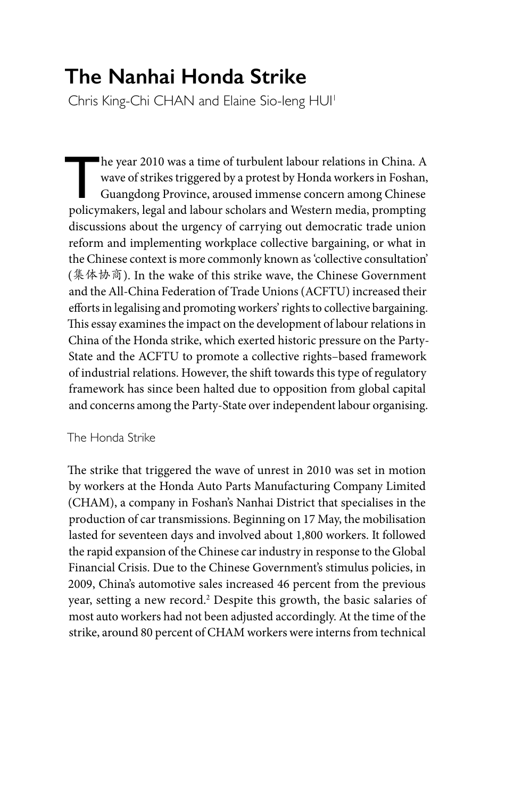## **The Nanhai Honda Strike**

Chris King-Chi CHAN and Elaine Sio-Ieng HUI<sup>1</sup>

The year 2010 was a time of turbulent labour relations in China. A<br>wave of strikes triggered by a protest by Honda workers in Foshan,<br>Guangdong Province, aroused immense concern among Chinese<br>policymakers, legal and labour wave of strikes triggered by a protest by Honda workers in Foshan, Guangdong Province, aroused immense concern among Chinese policymakers, legal and labour scholars and Western media, prompting discussions about the urgency of carrying out democratic trade union reform and implementing workplace collective bargaining, or what in the Chinese context is more commonly known as 'collective consultation' (集体协商). In the wake of this strike wave, the Chinese Government and the All-China Federation of Trade Unions (ACFTU) increased their efforts in legalising and promoting workers' rights to collective bargaining. This essay examines the impact on the development of labour relations in China of the Honda strike, which exerted historic pressure on the Party‐ State and the ACFTU to promote a collective rights–based framework of industrial relations. However, the shift towards this type of regulatory framework has since been halted due to opposition from global capital and concerns among the Party-State over independent labour organising.

### The Honda Strike

The strike that triggered the wave of unrest in 2010 was set in motion by workers at the Honda Auto Parts Manufacturing Company Limited (CHAM), a company in Foshan's Nanhai District that specialises in the production of car transmissions. Beginning on 17 May, the mobilisation lasted for seventeen days and involved about 1,800 workers. It followed the rapid expansion of the Chinese car industry in response to the Global Financial Crisis. Due to the Chinese Government's stimulus policies, in 2009, China's automotive sales increased 46 percent from the previous year, setting a new record.<sup>2</sup> Despite this growth, the basic salaries of most auto workers had not been adjusted accordingly. At the time of the strike, around 80 percent of CHAM workers were interns from technical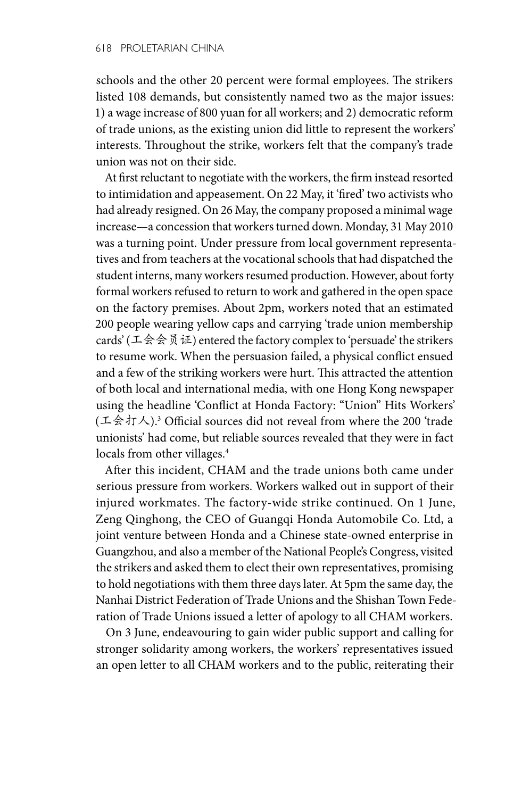schools and the other 20 percent were formal employees. The strikers listed 108 demands, but consistently named two as the major issues: 1) a wage increase of 800 yuan for all workers; and 2) democratic reform of trade unions, as the existing union did little to represent the workers' interests. Throughout the strike, workers felt that the company's trade union was not on their side.

At first reluctant to negotiate with the workers, the firm instead resorted to intimidation and appeasement. On 22 May, it 'fired' two activists who had already resigned. On 26 May, the company proposed a minimal wage increase—a concession that workers turned down. Monday, 31 May 2010 was a turning point. Under pressure from local government representatives and from teachers at the vocational schools that had dispatched the student interns, many workers resumed production. However, about forty formal workers refused to return to work and gathered in the open space on the factory premises. About 2pm, workers noted that an estimated 200 people wearing yellow caps and carrying 'trade union membership cards' (工会会员证) entered the factory complex to 'persuade' the strikers to resume work. When the persuasion failed, a physical conflict ensued and a few of the striking workers were hurt. This attracted the attention of both local and international media, with one Hong Kong newspaper using the headline 'Conflict at Honda Factory: "Union" Hits Workers' (工会打人).3 Official sources did not reveal from where the 200 'trade unionists' had come, but reliable sources revealed that they were in fact locals from other villages.<sup>4</sup>

After this incident, CHAM and the trade unions both came under serious pressure from workers. Workers walked out in support of their injured workmates. The factory‐wide strike continued. On 1 June, Zeng Qinghong, the CEO of Guangqi Honda Automobile Co. Ltd, a joint venture between Honda and a Chinese state-owned enterprise in Guangzhou, and also a member of the National People's Congress, visited the strikers and asked them to elect their own representatives, promising to hold negotiations with them three days later. At 5pm the same day, the Nanhai District Federation of Trade Unions and the Shishan Town Federation of Trade Unions issued a letter of apology to all CHAM workers.

On 3 June, endeavouring to gain wider public support and calling for stronger solidarity among workers, the workers' representatives issued an open letter to all CHAM workers and to the public, reiterating their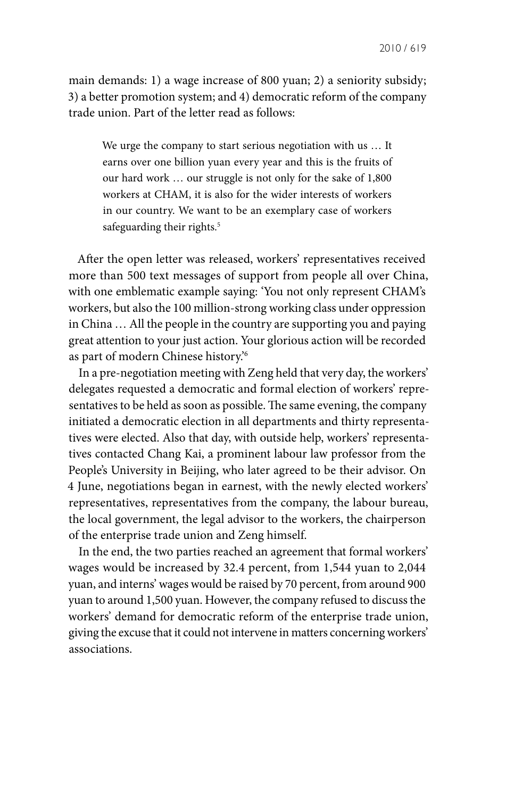main demands: 1) a wage increase of 800 yuan; 2) a seniority subsidy; 3) a better promotion system; and 4) democratic reform of the company trade union. Part of the letter read as follows:

We urge the company to start serious negotiation with us … It earns over one billion yuan every year and this is the fruits of our hard work … our struggle is not only for the sake of 1,800 workers at CHAM, it is also for the wider interests of workers in our country. We want to be an exemplary case of workers safeguarding their rights.<sup>5</sup>

After the open letter was released, workers' representatives received more than 500 text messages of support from people all over China, with one emblematic example saying: 'You not only represent CHAM's workers, but also the 100 million‐strong working class under oppression in China … All the people in the country are supporting you and paying great attention to your just action. Your glorious action will be recorded as part of modern Chinese history.'6

In a pre‐negotiation meeting with Zeng held that very day, the workers' delegates requested a democratic and formal election of workers' representatives to be held as soon as possible. The same evening, the company initiated a democratic election in all departments and thirty representatives were elected. Also that day, with outside help, workers' representatives contacted Chang Kai, a prominent labour law professor from the People's University in Beijing, who later agreed to be their advisor. On 4 June, negotiations began in earnest, with the newly elected workers' representatives, representatives from the company, the labour bureau, the local government, the legal advisor to the workers, the chairperson of the enterprise trade union and Zeng himself.

In the end, the two parties reached an agreement that formal workers' wages would be increased by 32.4 percent, from 1,544 yuan to 2,044 yuan, and interns' wages would be raised by 70 percent, from around 900 yuan to around 1,500 yuan. However, the company refused to discuss the workers' demand for democratic reform of the enterprise trade union, giving the excuse that it could not intervene in matters concerning workers' associations.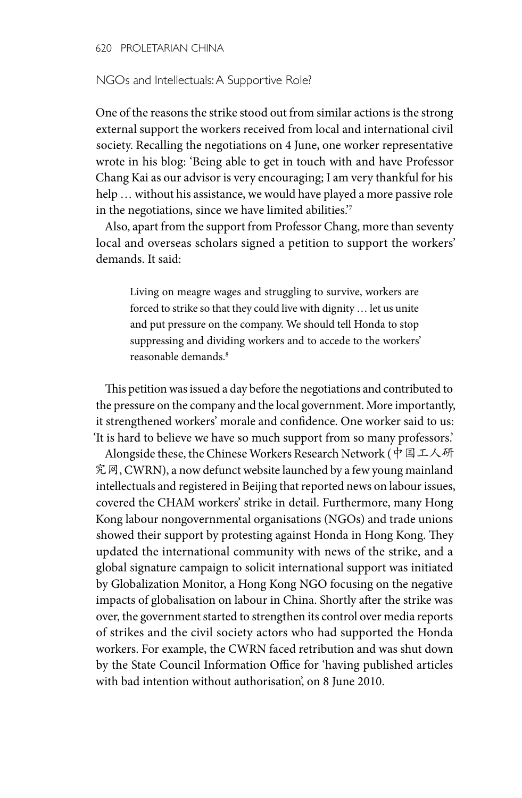620 PROLETARIAN CHINA

#### NGOs and Intellectuals: A Supportive Role?

One of the reasons the strike stood out from similar actions is the strong external support the workers received from local and international civil society. Recalling the negotiations on 4 June, one worker representative wrote in his blog: 'Being able to get in touch with and have Professor Chang Kai as our advisor is very encouraging; I am very thankful for his help … without his assistance, we would have played a more passive role in the negotiations, since we have limited abilities.'7

Also, apart from the support from Professor Chang, more than seventy local and overseas scholars signed a petition to support the workers' demands. It said:

Living on meagre wages and struggling to survive, workers are forced to strike so that they could live with dignity … let us unite and put pressure on the company. We should tell Honda to stop suppressing and dividing workers and to accede to the workers' reasonable demands.8

This petition was issued a day before the negotiations and contributed to the pressure on the company and the local government. More importantly, it strengthened workers' morale and confidence. One worker said to us: 'It is hard to believe we have so much support from so many professors.'

Alongside these, the Chinese Workers Research Network (中国工人研 究网, CWRN), a now defunct website launched by a few young mainland intellectuals and registered in Beijing that reported news on labour issues, covered the CHAM workers' strike in detail. Furthermore, many Hong Kong labour nongovernmental organisations (NGOs) and trade unions showed their support by protesting against Honda in Hong Kong. They updated the international community with news of the strike, and a global signature campaign to solicit international support was initiated by Globalization Monitor, a Hong Kong NGO focusing on the negative impacts of globalisation on labour in China. Shortly after the strike was over, the government started to strengthen its control over media reports of strikes and the civil society actors who had supported the Honda workers. For example, the CWRN faced retribution and was shut down by the State Council Information Office for 'having published articles with bad intention without authorisation', on 8 June 2010.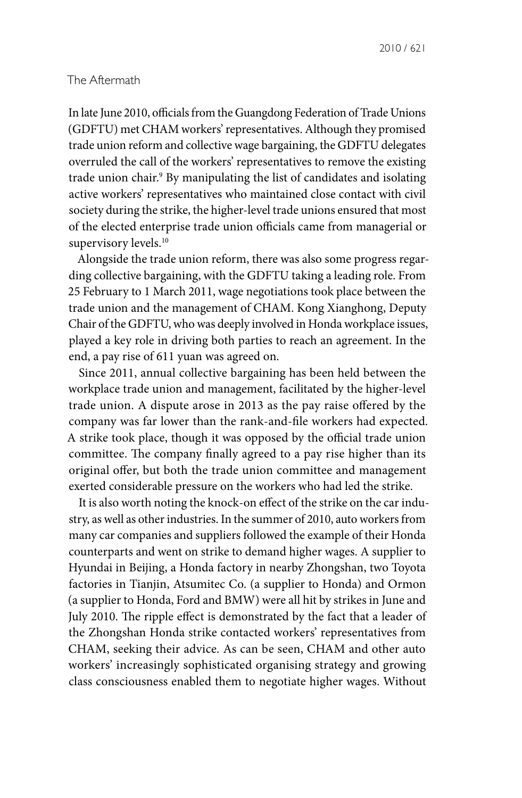#### The Aftermath

In late June 2010, officials from the Guangdong Federation of Trade Unions (GDFTU) met CHAM workers' representatives. Although they promised trade union reform and collective wage bargaining, the GDFTU delegates overruled the call of the workers' representatives to remove the existing trade union chair.<sup>9</sup> By manipulating the list of candidates and isolating active workers' representatives who maintained close contact with civil society during the strike, the higher-level trade unions ensured that most of the elected enterprise trade union officials came from managerial or supervisory levels.<sup>10</sup>

Alongside the trade union reform, there was also some progress regarding collective bargaining, with the GDFTU taking a leading role. From 25 February to 1 March 2011, wage negotiations took place between the trade union and the management of CHAM. Kong Xianghong, Deputy Chair of the GDFTU, who was deeply involved in Honda workplace issues, played a key role in driving both parties to reach an agreement. In the end, a pay rise of 611 yuan was agreed on.

Since 2011, annual collective bargaining has been held between the workplace trade union and management, facilitated by the higher-level trade union. A dispute arose in 2013 as the pay raise offered by the company was far lower than the rank‐and‐file workers had expected. A strike took place, though it was opposed by the official trade union committee. The company finally agreed to a pay rise higher than its original offer, but both the trade union committee and management exerted considerable pressure on the workers who had led the strike.

It is also worth noting the knock‐on effect of the strike on the car industry, as well as other industries. In the summer of 2010, auto workers from many car companies and suppliers followed the example of their Honda counterparts and went on strike to demand higher wages. A supplier to Hyundai in Beijing, a Honda factory in nearby Zhongshan, two Toyota factories in Tianjin, Atsumitec Co. (a supplier to Honda) and Ormon (a supplier to Honda, Ford and BMW) were all hit by strikes in June and July 2010. The ripple effect is demonstrated by the fact that a leader of the Zhongshan Honda strike contacted workers' representatives from CHAM, seeking their advice. As can be seen, CHAM and other auto workers' increasingly sophisticated organising strategy and growing class consciousness enabled them to negotiate higher wages. Without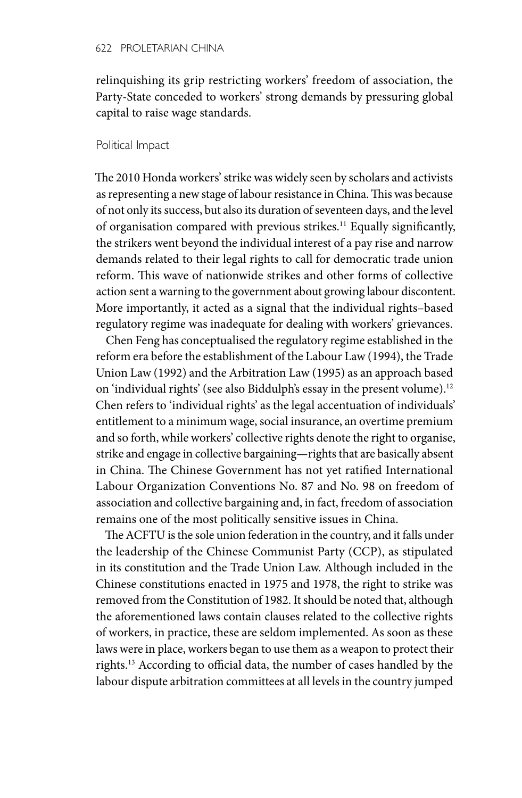relinquishing its grip restricting workers' freedom of association, the Party-State conceded to workers' strong demands by pressuring global capital to raise wage standards.

#### Political Impact

The 2010 Honda workers' strike was widely seen by scholars and activists as representing a new stage of labour resistance in China. This was because of not only its success, but also its duration of seventeen days, and the level of organisation compared with previous strikes.11 Equally significantly, the strikers went beyond the individual interest of a pay rise and narrow demands related to their legal rights to call for democratic trade union reform. This wave of nationwide strikes and other forms of collective action sent a warning to the government about growing labour discontent. More importantly, it acted as a signal that the individual rights–based regulatory regime was inadequate for dealing with workers' grievances.

Chen Feng has conceptualised the regulatory regime established in the reform era before the establishment of the Labour Law (1994), the Trade Union Law (1992) and the Arbitration Law (1995) as an approach based on 'individual rights' (see also Biddulph's essay in the present volume).12 Chen refers to 'individual rights' as the legal accentuation of individuals' entitlement to a minimum wage, social insurance, an overtime premium and so forth, while workers' collective rights denote the right to organise, strike and engage in collective bargaining—rights that are basically absent in China. The Chinese Government has not yet ratified International Labour Organization Conventions No. 87 and No. 98 on freedom of association and collective bargaining and, in fact, freedom of association remains one of the most politically sensitive issues in China.

The ACFTU is the sole union federation in the country, and it falls under the leadership of the Chinese Communist Party (CCP), as stipulated in its constitution and the Trade Union Law. Although included in the Chinese constitutions enacted in 1975 and 1978, the right to strike was removed from the Constitution of 1982. It should be noted that, although the aforementioned laws contain clauses related to the collective rights of workers, in practice, these are seldom implemented. As soon as these laws were in place, workers began to use them as a weapon to protect their rights.13 According to official data, the number of cases handled by the labour dispute arbitration committees at all levels in the country jumped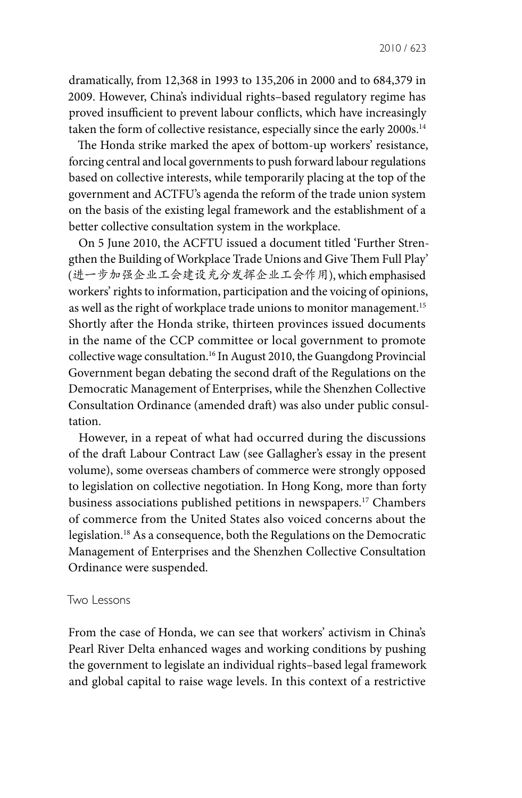dramatically, from 12,368 in 1993 to 135,206 in 2000 and to 684,379 in 2009. However, China's individual rights–based regulatory regime has proved insufficient to prevent labour conflicts, which have increasingly taken the form of collective resistance, especially since the early 2000s.<sup>14</sup>

The Honda strike marked the apex of bottom-up workers' resistance, forcing central and local governments to push forward labour regulations based on collective interests, while temporarily placing at the top of the government and ACTFU's agenda the reform of the trade union system on the basis of the existing legal framework and the establishment of a better collective consultation system in the workplace.

On 5 June 2010, the ACFTU issued a document titled 'Further Strengthen the Building of Workplace Trade Unions and Give Them Full Play' (进一步加强企业工会建设充分发挥企业工会作用), which emphasised workers' rights to information, participation and the voicing of opinions, as well as the right of workplace trade unions to monitor management.<sup>15</sup> Shortly after the Honda strike, thirteen provinces issued documents in the name of the CCP committee or local government to promote collective wage consultation.16 In August 2010, the Guangdong Provincial Government began debating the second draft of the Regulations on the Democratic Management of Enterprises, while the Shenzhen Collective Consultation Ordinance (amended draft) was also under public consultation.

However, in a repeat of what had occurred during the discussions of the draft Labour Contract Law (see Gallagher's essay in the present volume), some overseas chambers of commerce were strongly opposed to legislation on collective negotiation. In Hong Kong, more than forty business associations published petitions in newspapers.17 Chambers of commerce from the United States also voiced concerns about the legislation.18 As a consequence, both the Regulations on the Democratic Management of Enterprises and the Shenzhen Collective Consultation Ordinance were suspended.

#### Two Lessons

From the case of Honda, we can see that workers' activism in China's Pearl River Delta enhanced wages and working conditions by pushing the government to legislate an individual rights–based legal framework and global capital to raise wage levels. In this context of a restrictive